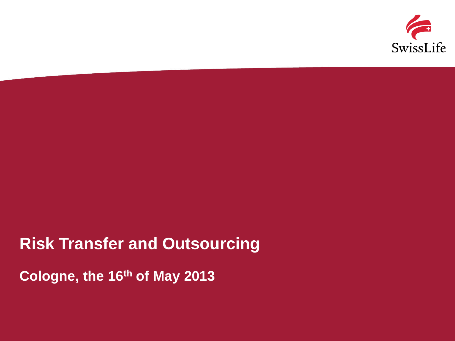

### **Risk Transfer and Outsourcing**

**Cologne, the 16th of May 2013**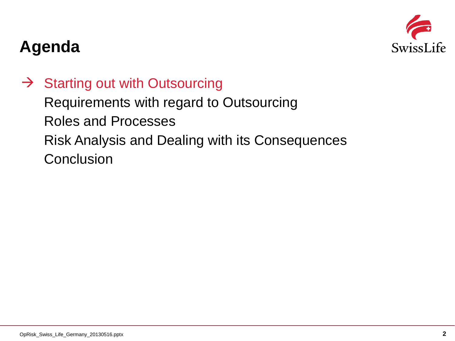

 $\rightarrow$  Starting out with Outsourcing

Requirements with regard to Outsourcing Roles and Processes Risk Analysis and Dealing with its Consequences **Conclusion**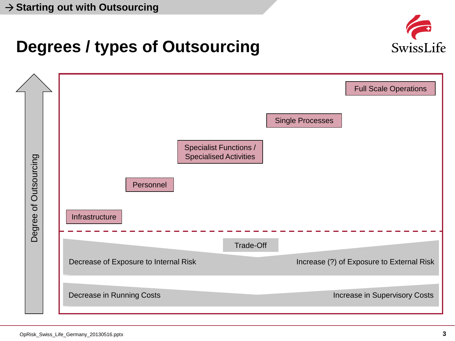

# **Degrees / types of Outsourcing**

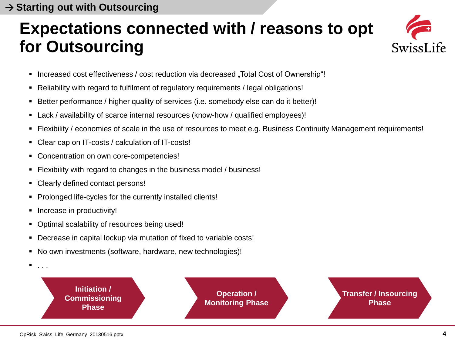## **Expectations connected with / reasons to opt for Outsourcing**



- Increased cost effectiveness / cost reduction via decreased "Total Cost of Ownership"!
- Reliability with regard to fulfilment of regulatory requirements / legal obligations!
- Better performance / higher quality of services (i.e. somebody else can do it better)!
- Lack / availability of scarce internal resources (know-how / qualified employees)!
- Flexibility / economies of scale in the use of resources to meet e.g. Business Continuity Management requirements!
- Clear cap on IT-costs / calculation of IT-costs!
- Concentration on own core-competencies!
- Flexibility with regard to changes in the business model / business!
- Clearly defined contact persons!
- Prolonged life-cycles for the currently installed clients!
- Increase in productivity!

 $\blacksquare$  . . .

- Optimal scalability of resources being used!
- Decrease in capital lockup via mutation of fixed to variable costs!
- No own investments (software, hardware, new technologies)!
	- **Initiation / Commissioning Phase**

**Operation / Monitoring Phase**

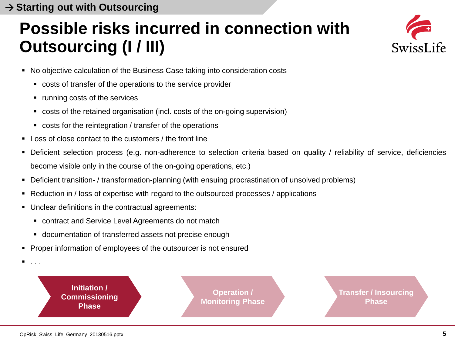# **Possible risks incurred in connection with Outsourcing (I / III)**



- No objective calculation of the Business Case taking into consideration costs
	- costs of transfer of the operations to the service provider
	- running costs of the services
	- costs of the retained organisation (incl. costs of the on-going supervision)
	- costs for the reintegration / transfer of the operations
- Loss of close contact to the customers / the front line
- Deficient selection process (e.g. non-adherence to selection criteria based on quality / reliability of service, deficiencies become visible only in the course of the on-going operations, etc.)
- Deficient transition- / transformation-planning (with ensuing procrastination of unsolved problems)
- Reduction in / loss of expertise with regard to the outsourced processes / applications
- Unclear definitions in the contractual agreements:
	- contract and Service Level Agreements do not match
	- documentation of transferred assets not precise enough
- **Proper information of employees of the outsourcer is not ensured** 
	- **Initiation / Commissioning Phase**

**Operation / Monitoring Phase** **Transfer / Insourcing Phase**

 $\blacksquare$  . . .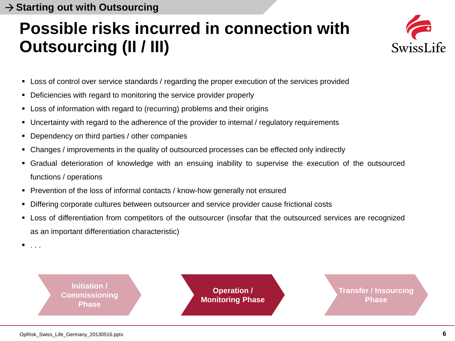# **Possible risks incurred in connection with Outsourcing (II / III)**



- **EXECTS** Loss of control over service standards / regarding the proper execution of the services provided
- Deficiencies with regard to monitoring the service provider properly
- **EXECT** Loss of information with regard to (recurring) problems and their origins
- Uncertainty with regard to the adherence of the provider to internal / regulatory requirements
- **Dependency on third parties / other companies**
- Changes / improvements in the quality of outsourced processes can be effected only indirectly
- Gradual deterioration of knowledge with an ensuing inability to supervise the execution of the outsourced functions / operations
- **Prevention of the loss of informal contacts / know-how generally not ensured**
- **Differing corporate cultures between outsourcer and service provider cause frictional costs**
- Loss of differentiation from competitors of the outsourcer (insofar that the outsourced services are recognized as an important differentiation characteristic)
- . . .



**Operation / Monitoring Phase** **Transfer / Insourcing Phase**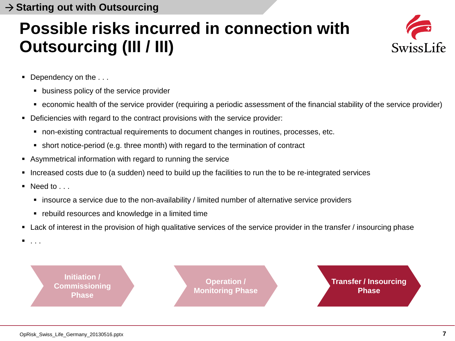# **Possible risks incurred in connection with Outsourcing (III / III)**



- Dependency on the ...
	- **business policy of the service provider**
	- economic health of the service provider (requiring a periodic assessment of the financial stability of the service provider)
- Deficiencies with regard to the contract provisions with the service provider:
	- non-existing contractual requirements to document changes in routines, processes, etc.
	- short notice-period (e.g. three month) with regard to the termination of contract
- Asymmetrical information with regard to running the service
- Increased costs due to (a sudden) need to build up the facilities to run the to be re-integrated services
- Need to . . .
	- insource a service due to the non-availability / limited number of alternative service providers
	- **•** rebuild resources and knowledge in a limited time
- Lack of interest in the provision of high qualitative services of the service provider in the transfer / insourcing phase
- . . .

**Initiation / Commissioning Phase**

**Operation / Monitoring Phase** **Transfer / Insourcing Phase**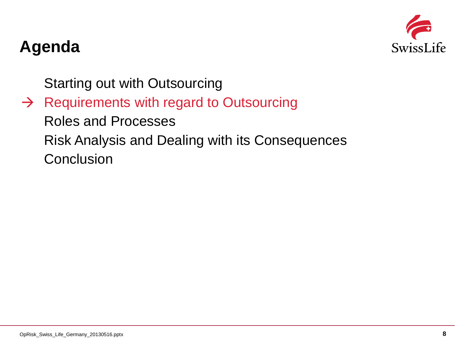

Starting out with Outsourcing

 $\rightarrow$  Requirements with regard to Outsourcing Roles and Processes Risk Analysis and Dealing with its Consequences **Conclusion**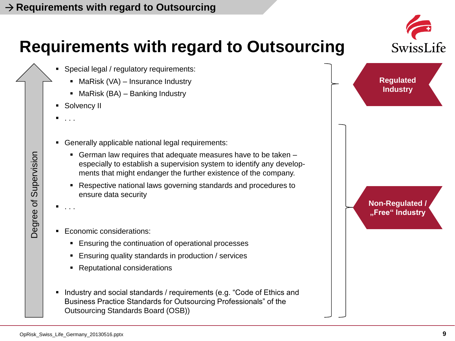# **Requirements with regard to Outsourcing**

- Special legal / regulatory requirements:
	- $M$ MaRisk (VA) Insurance Industry
	- $M$ MaRisk (BA) Banking Industry
- **Solvency II**
- $\blacksquare$  . . .
- Generally applicable national legal requirements:
	- German law requires that adequate measures have to be taken especially to establish a supervision system to identify any developments that might endanger the further existence of the company.
	- Respective national laws governing standards and procedures to ensure data security
- $\blacksquare$  . . .
- **Economic considerations:** 
	- **Ensuring the continuation of operational processes**
	- **Ensuring quality standards in production / services**
	- Reputational considerations
- Industry and social standards / requirements (e.g. "Code of Ethics and Business Practice Standards for Outsourcing Professionals" of the Outsourcing Standards Board (OSB))



Supervision Degree of Supervision  $\mathcal{P}$ Degree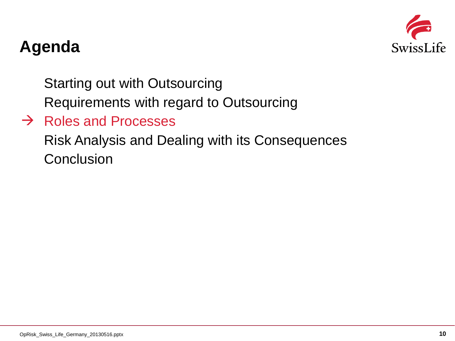

Starting out with Outsourcing

Requirements with regard to Outsourcing

### $\rightarrow$  Roles and Processes

Risk Analysis and Dealing with its Consequences **Conclusion**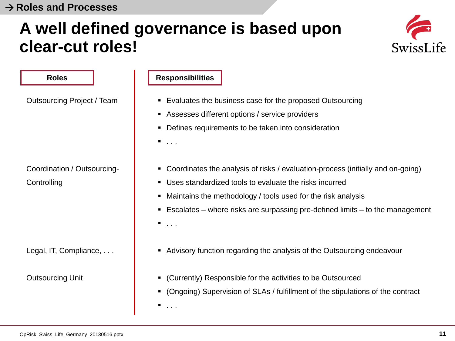## **A well defined governance is based upon clear-cut roles!**



**Roles** Outsourcing Project / Team Coordination / Outsourcing-**Controlling** Legal, IT, Compliance, . . . Outsourcing Unit Evaluates the business case for the proposed Outsourcing Assesses different options / service providers Defines requirements to be taken into consideration  $\blacksquare$  . . . . Coordinates the analysis of risks / evaluation-process (initially and on-going) Uses standardized tools to evaluate the risks incurred Maintains the methodology / tools used for the risk analysis **Escalates** – where risks are surpassing pre-defined limits – to the management  $\blacksquare$ . . . . Advisory function regarding the analysis of the Outsourcing endeavour (Currently) Responsible for the activities to be Outsourced (Ongoing) Supervision of SLAs / fulfillment of the stipulations of the contract  $\blacksquare$  . . . . **Responsibilities**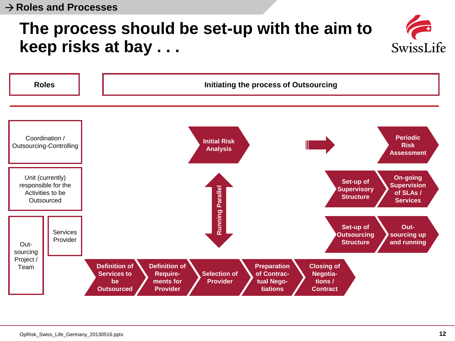## **The process should be set-up with the aim to keep risks at bay . . .**



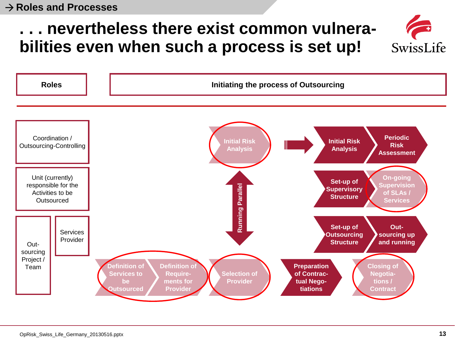## **. . . nevertheless there exist common vulnerabilities even when such a process is set up!**



SwissLife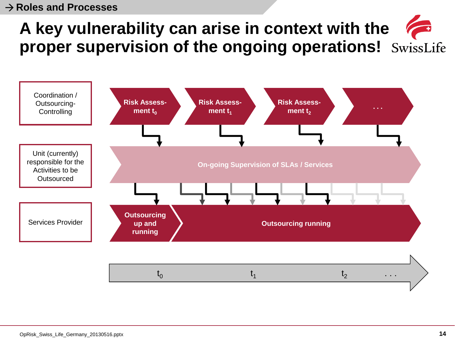# **A key vulnerability can arise in context with the proper supervision of the ongoing operations!**

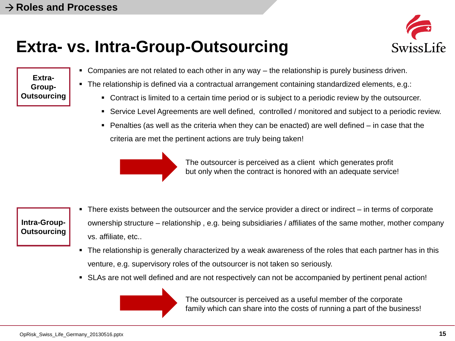## **Extra- vs. Intra-Group-Outsourcing**



**Extra-Group-Outsourcing**

- Companies are not related to each other in any way the relationship is purely business driven.
- The relationship is defined via a contractual arrangement containing standardized elements, e.g.:
	- Contract is limited to a certain time period or is subject to a periodic review by the outsourcer.
	- Service Level Agreements are well defined, controlled / monitored and subject to a periodic review.
	- $\blacksquare$  Penalties (as well as the criteria when they can be enacted) are well defined in case that the criteria are met the pertinent actions are truly being taken!



The outsourcer is perceived as a client which generates profit but only when the contract is honored with an adequate service!

**Intra-Group-Outsourcing**

- There exists between the outsourcer and the service provider a direct or indirect in terms of corporate ownership structure – relationship , e.g. being subsidiaries / affiliates of the same mother, mother company vs. affiliate, etc..
- The relationship is generally characterized by a weak awareness of the roles that each partner has in this venture, e.g. supervisory roles of the outsourcer is not taken so seriously.
- SLAs are not well defined and are not respectively can not be accompanied by pertinent penal action!



The outsourcer is perceived as a useful member of the corporate family which can share into the costs of running a part of the business!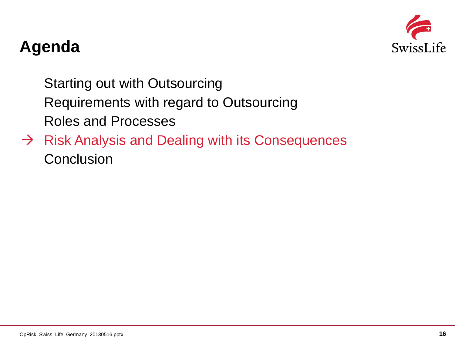

Starting out with Outsourcing Requirements with regard to Outsourcing Roles and Processes

 $\rightarrow$  Risk Analysis and Dealing with its Consequences **Conclusion**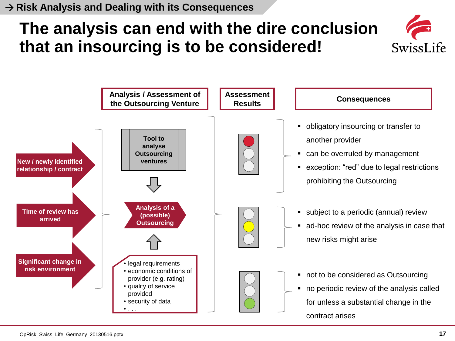# **The analysis can end with the dire conclusion that an insourcing is to be considered!**



**SwissLife**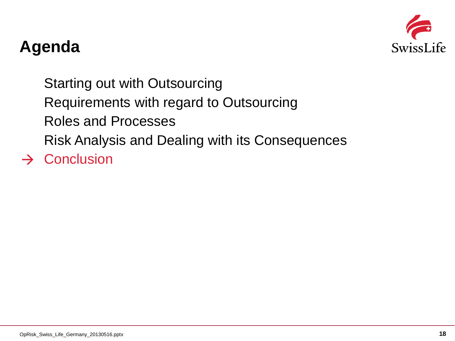

Starting out with Outsourcing Requirements with regard to Outsourcing Roles and Processes Risk Analysis and Dealing with its Consequences  $\rightarrow$  Conclusion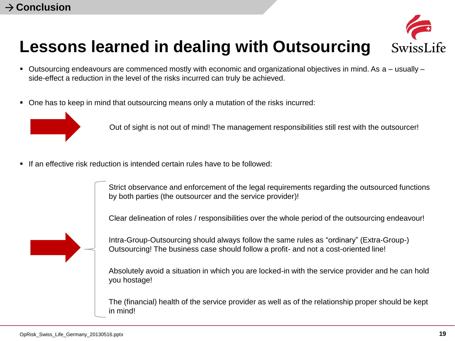### **Lessons learned in dealing with Outsourcing Swiss**

- Outsourcing endeavours are commenced mostly with economic and organizational objectives in mind. As a usually side-effect a reduction in the level of the risks incurred can truly be achieved.
- One has to keep in mind that outsourcing means only a mutation of the risks incurred:



Out of sight is not out of mind! The management responsibilities still rest with the outsourcer!

 $\blacksquare$  If an effective risk reduction is intended certain rules have to be followed:

Strict observance and enforcement of the legal requirements regarding the outsourced functions by both parties (the outsourcer and the service provider)!

Clear delineation of roles / responsibilities over the whole period of the outsourcing endeavour!



Intra-Group-Outsourcing should always follow the same rules as "ordinary" (Extra-Group-) Outsourcing! The business case should follow a profit- and not a cost-oriented line!

Absolutely avoid a situation in which you are locked-in with the service provider and he can hold you hostage!

The (financial) health of the service provider as well as of the relationship proper should be kept in mind!